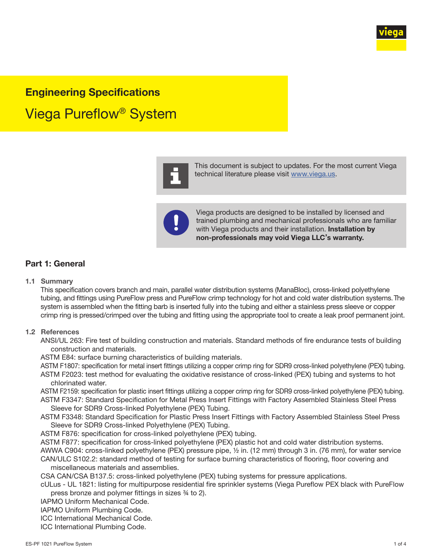

# Engineering Specifications

Viega Pureflow® System



This document is subject to updates. For the most current Viega technical literature please visit [www.viega.us](http://www.viega.us).



Viega products are designed to be installed by licensed and trained plumbing and mechanical professionals who are familiar with Viega products and their installation. Installation by non-professionals may void Viega LLC's warranty.

### Part 1: General

#### 1.1 Summary

This specification covers branch and main, parallel water distribution systems (ManaBloc), cross-linked polyethylene tubing, and fittings using PureFlow press and PureFlow crimp technology for hot and cold water distribution systems. The system is assembled when the fitting barb is inserted fully into the tubing and either a stainless press sleeve or copper crimp ring is pressed/crimped over the tubing and fitting using the appropriate tool to create a leak proof permanent joint.

#### 1.2 References

ANSI/UL 263: Fire test of building construction and materials. Standard methods of fire endurance tests of building construction and materials.

ASTM E84: surface burning characteristics of building materials.

ASTM F1807: specification for metal insert fittings utilizing a copper crimp ring for SDR9 cross-linked polyethylene (PEX) tubing. ASTM F2023: test method for evaluating the oxidative resistance of cross-linked (PEX) tubing and systems to hot chlorinated water.

ASTM F2159: specification for plastic insert fittings utilizing a copper crimp ring for SDR9 cross-linked polyethylene (PEX) tubing. ASTM F3347: Standard Specification for Metal Press Insert Fittings with Factory Assembled Stainless Steel Press

Sleeve for SDR9 Cross-linked Polyethylene (PEX) Tubing.

ASTM F3348: Standard Specification for Plastic Press Insert Fittings with Factory Assembled Stainless Steel Press Sleeve for SDR9 Cross-linked Polyethylene (PEX) Tubing.

ASTM F876: specification for cross-linked polyethylene (PEX) tubing.

ASTM F877: specification for cross-linked polyethylene (PEX) plastic hot and cold water distribution systems. AWWA C904: cross-linked polyethylene (PEX) pressure pipe, ½ in. (12 mm) through 3 in. (76 mm), for water service CAN/ULC S102.2: standard method of testing for surface burning characteristics of flooring, floor covering and miscellaneous materials and assemblies.

CSA CAN/CSA B137.5: cross-linked polyethylene (PEX) tubing systems for pressure applications.

cULus - UL 1821: listing for multipurpose residential fire sprinkler systems (Viega Pureflow PEX black with PureFlow press bronze and polymer fittings in sizes ¾ to 2).

IAPMO Uniform Mechanical Code.

IAPMO Uniform Plumbing Code.

ICC International Mechanical Code.

ICC International Plumbing Code.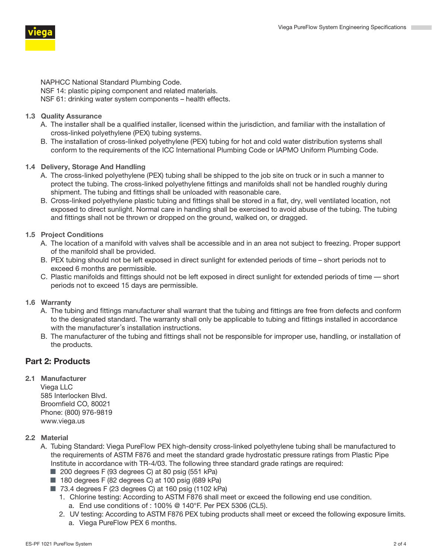

NAPHCC National Standard Plumbing Code. NSF 14: plastic piping component and related materials. NSF 61: drinking water system components – health effects.

- 1.3 Quality Assurance
	- A. The installer shall be a qualified installer, licensed within the jurisdiction, and familiar with the installation of cross-linked polyethylene (PEX) tubing systems.
	- B. The installation of cross-linked polyethylene (PEX) tubing for hot and cold water distribution systems shall conform to the requirements of the ICC International Plumbing Code or IAPMO Uniform Plumbing Code.
- 1.4 Delivery, Storage And Handling
	- A. The cross-linked polyethylene (PEX) tubing shall be shipped to the job site on truck or in such a manner to protect the tubing. The cross-linked polyethylene fittings and manifolds shall not be handled roughly during shipment. The tubing and fittings shall be unloaded with reasonable care.
	- B. Cross-linked polyethylene plastic tubing and fittings shall be stored in a flat, dry, well ventilated location, not exposed to direct sunlight. Normal care in handling shall be exercised to avoid abuse of the tubing. The tubing and fittings shall not be thrown or dropped on the ground, walked on, or dragged.
- 1.5 Project Conditions
	- A. The location of a manifold with valves shall be accessible and in an area not subject to freezing. Proper support of the manifold shall be provided.
	- B. PEX tubing should not be left exposed in direct sunlight for extended periods of time short periods not to exceed 6 months are permissible.
	- C. Plastic manifolds and fittings should not be left exposed in direct sunlight for extended periods of time short periods not to exceed 15 days are permissible.
- 1.6 Warranty
	- A. The tubing and fittings manufacturer shall warrant that the tubing and fittings are free from defects and conform to the designated standard. The warranty shall only be applicable to tubing and fittings installed in accordance with the manufacturer's installation instructions.
	- B. The manufacturer of the tubing and fittings shall not be responsible for improper use, handling, or installation of the products.

## Part 2: Products

2.1 Manufacturer Viega LLC 585 Interlocken Blvd. Broomfield CO, 80021

Phone: (800) 976-9819 www.viega.us

- 2.2 Material
	- A. Tubing Standard: Viega PureFlow PEX high-density cross-linked polyethylene tubing shall be manufactured to the requirements of ASTM F876 and meet the standard grade hydrostatic pressure ratings from Plastic Pipe Institute in accordance with TR-4/03. The following three standard grade ratings are required:
		- 200 degrees F (93 degrees C) at 80 psig (551 kPa)
		- 180 degrees F (82 degrees C) at 100 psig (689 kPa)
		- 73.4 degrees F (23 degrees C) at 160 psig (1102 kPa)
			- 1. Chlorine testing: According to ASTM F876 shall meet or exceed the following end use condition. a. End use conditions of : 100% @ 140°F. Per PEX 5306 (CL5).
			- 2. UV testing: According to ASTM F876 PEX tubing products shall meet or exceed the following exposure limits. a. Viega PureFlow PEX 6 months.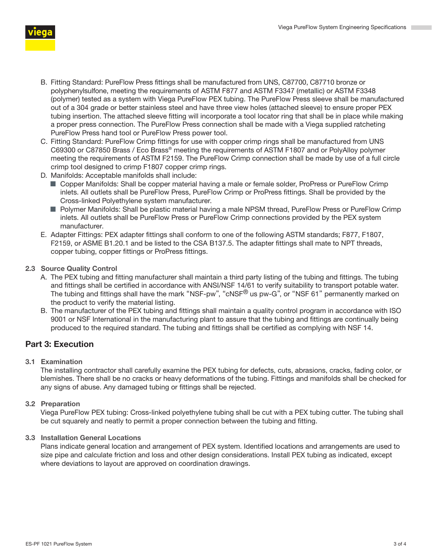



- B. Fitting Standard: PureFlow Press fittings shall be manufactured from UNS, C87700, C87710 bronze or polyphenylsulfone, meeting the requirements of ASTM F877 and ASTM F3347 (metallic) or ASTM F3348 (polymer) tested as a system with Viega PureFlow PEX tubing. The PureFlow Press sleeve shall be manufactured out of a 304 grade or better stainless steel and have three view holes (attached sleeve) to ensure proper PEX tubing insertion. The attached sleeve fitting will incorporate a tool locator ring that shall be in place while making a proper press connection. The PureFlow Press connection shall be made with a Viega supplied ratcheting PureFlow Press hand tool or PureFlow Press power tool.
- C. Fitting Standard: PureFlow Crimp fittings for use with copper crimp rings shall be manufactured from UNS C69300 or C87850 Brass / Eco Brass® meeting the requirements of ASTM F1807 and or PolyAlloy polymer meeting the requirements of ASTM F2159. The PureFlow Crimp connection shall be made by use of a full circle crimp tool designed to crimp F1807 copper crimp rings.
- D. Manifolds: Acceptable manifolds shall include:
	- Copper Manifolds: Shall be copper material having a male or female solder, ProPress or PureFlow Crimp inlets. All outlets shall be PureFlow Press, PureFlow Crimp or ProPress fittings. Shall be provided by the Cross-linked Polyethylene system manufacturer.
	- Polymer Manifolds: Shall be plastic material having a male NPSM thread, PureFlow Press or PureFlow Crimp inlets. All outlets shall be PureFlow Press or PureFlow Crimp connections provided by the PEX system manufacturer.
- E. Adapter Fittings: PEX adapter fittings shall conform to one of the following ASTM standards; F877, F1807, F2159, or ASME B1.20.1 and be listed to the CSA B137.5. The adapter fittings shall mate to NPT threads, copper tubing, copper fittings or ProPress fittings.
- 2.3 Source Quality Control
	- A. The PEX tubing and fitting manufacturer shall maintain a third party listing of the tubing and fittings. The tubing and fittings shall be certified in accordance with ANSI/NSF 14/61 to verify suitability to transport potable water. The tubing and fittings shall have the mark "NSF-pw", "cNSF® us pw-G", or "NSF 61" permanently marked on the product to verify the material listing.
	- B. The manufacturer of the PEX tubing and fittings shall maintain a quality control program in accordance with ISO 9001 or NSF International in the manufacturing plant to assure that the tubing and fittings are continually being produced to the required standard. The tubing and fittings shall be certified as complying with NSF 14.

# Part 3: Execution

3.1 Examination

The installing contractor shall carefully examine the PEX tubing for defects, cuts, abrasions, cracks, fading color, or blemishes. There shall be no cracks or heavy deformations of the tubing. Fittings and manifolds shall be checked for any signs of abuse. Any damaged tubing or fittings shall be rejected.

### 3.2 Preparation

Viega PureFlow PEX tubing: Cross-linked polyethylene tubing shall be cut with a PEX tubing cutter. The tubing shall be cut squarely and neatly to permit a proper connection between the tubing and fitting.

### 3.3 Installation General Locations

Plans indicate general location and arrangement of PEX system. Identified locations and arrangements are used to size pipe and calculate friction and loss and other design considerations. Install PEX tubing as indicated, except where deviations to layout are approved on coordination drawings.